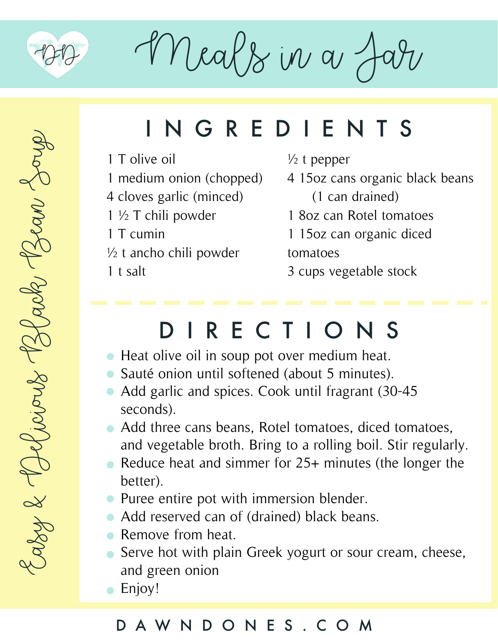

Meals in a J

## INGREDIENTS

- 1 T olive oil
- 1 medium onion (chopped)
- 4 cloves garlic (minced)
- 1 ½ T chili powder
- 1 T cumin
- $\frac{1}{2}$  t ancho chili powder
- 1 t salt

#### $\frac{1}{2}$  t pepper

- 4 15oz cans organic black beans (1 can drained)
- 1 8oz can Rotel tomatoes
- 1 15oz can organic diced tomatoes
- 3 cups vegetable stock

### DIRECTIONS

- Heat olive oil in soup pot over medium heat.
- Sauté onion until softened (about 5 minutes).
- Add garlic and spices. Cook until fragrant (30-45) seconds).
- Add three cans beans, Rotel tomatoes, diced tomatoes, and vegetable broth. Bring to a rolling boil. Stir regularly.
- Reduce heat and simmer for 25+ minutes (the longer the better).
- Puree entire pot with immersion blender.
- Add reserved can of (drained) black beans.
- Remove from heat.
- Serve hot with plain Greek yogurt or sour cream, cheese, and green onion
- Enjoy!

### DAWNDONES.COM